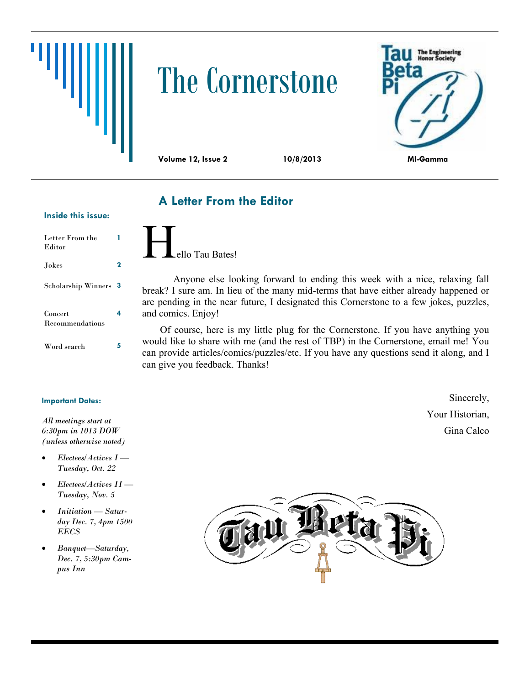# The Cornerstone



#### **A Letter From the Editor**

#### **Inside this issue:**

| Letter From the<br>Editor  |   |
|----------------------------|---|
| Jokes                      | 2 |
| <b>Scholarship Winners</b> | З |
| Concert<br>Recommendations | 4 |
| Word search                | 5 |

#### **Important Dates:**

*All meetings start at 6:30pm in 1013 DOW (unless otherwise noted)*

- *Electees/Actives I — Tuesday, Oct. 22*
- *Electees/Actives II — Tuesday, Nov. 5*
- *Initiation — Saturday Dec. 7, 4pm 1500 EECS*
- *Banquet—Saturday, Dec. 7, 5:30pm Campus Inn*



Anyone else looking forward to ending this week with a nice, relaxing fall break? I sure am. In lieu of the many mid-terms that have either already happened or are pending in the near future, I designated this Cornerstone to a few jokes, puzzles, and comics. Enjoy!

Of course, here is my little plug for the Cornerstone. If you have anything you would like to share with me (and the rest of TBP) in the Cornerstone, email me! You can provide articles/comics/puzzles/etc. If you have any questions send it along, and I can give you feedback. Thanks!

> Sincerely, Your Historian, Gina Calco

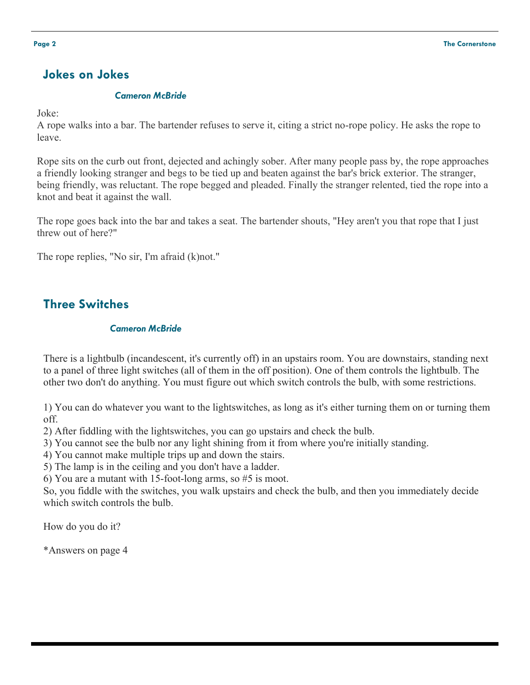#### **Jokes on Jokes**

#### *Cameron McBride*

Joke:

A rope walks into a bar. The bartender refuses to serve it, citing a strict no-rope policy. He asks the rope to leave.

Rope sits on the curb out front, dejected and achingly sober. After many people pass by, the rope approaches a friendly looking stranger and begs to be tied up and beaten against the bar's brick exterior. The stranger, being friendly, was reluctant. The rope begged and pleaded. Finally the stranger relented, tied the rope into a knot and beat it against the wall.

The rope goes back into the bar and takes a seat. The bartender shouts, "Hey aren't you that rope that I just threw out of here?"

The rope replies, "No sir, I'm afraid (k)not."

#### **Three Switches**

#### *Cameron McBride*

There is a lightbulb (incandescent, it's currently off) in an upstairs room. You are downstairs, standing next to a panel of three light switches (all of them in the off position). One of them controls the lightbulb. The other two don't do anything. You must figure out which switch controls the bulb, with some restrictions.

1) You can do whatever you want to the lightswitches, as long as it's either turning them on or turning them off.

2) After fiddling with the lightswitches, you can go upstairs and check the bulb.

3) You cannot see the bulb nor any light shining from it from where you're initially standing.

4) You cannot make multiple trips up and down the stairs.

5) The lamp is in the ceiling and you don't have a ladder.

6) You are a mutant with 15-foot-long arms, so #5 is moot.

So, you fiddle with the switches, you walk upstairs and check the bulb, and then you immediately decide which switch controls the bulb.

How do you do it?

\*Answers on page 4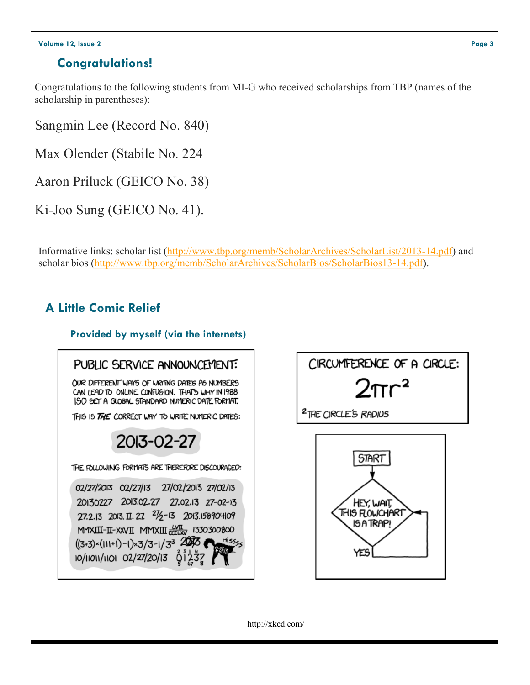#### **Volume 12, Issue 2 Page 3**

#### **Congratulations!**

Congratulations to the following students from MI-G who received scholarships from TBP (names of the scholarship in parentheses):

Sangmin Lee (Record No. 840)

Max Olender (Stabile No. 224

Aaron Priluck (GEICO No. 38)

Ki-Joo Sung (GEICO No. 41).

Informative links: scholar list [\(http://www.tbp.org/memb/ScholarArchives/ScholarList/2013](http://www.tbp.org/memb/ScholarArchives/ScholarList/2013-14.pdf)-14.pdf) and scholar bios [\(http://www.tbp.org/memb/ScholarArchives/ScholarBios/ScholarBios13](http://www.tbp.org/memb/ScholarArchives/ScholarBios/ScholarBios13-14.pdf)-14.pdf).

### **A Little Comic Relief**

#### **Provided by myself (via the internets)**





http://xkcd.com/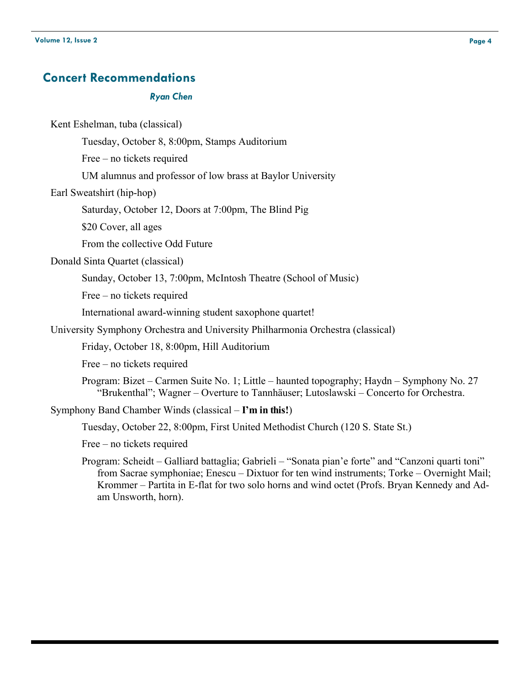#### **Concert Recommendations**

#### *Ryan Chen*

Kent Eshelman, tuba (classical)

Tuesday, October 8, 8:00pm, Stamps Auditorium

Free – no tickets required

UM alumnus and professor of low brass at Baylor University

Earl Sweatshirt (hip-hop)

Saturday, October 12, Doors at 7:00pm, The Blind Pig

\$20 Cover, all ages

From the collective Odd Future

Donald Sinta Quartet (classical)

Sunday, October 13, 7:00pm, McIntosh Theatre (School of Music)

Free – no tickets required

International award-winning student saxophone quartet!

University Symphony Orchestra and University Philharmonia Orchestra (classical)

Friday, October 18, 8:00pm, Hill Auditorium

Free – no tickets required

Program: Bizet – Carmen Suite No. 1; Little – haunted topography; Haydn – Symphony No. 27 "Brukenthal"; Wagner – Overture to Tannhäuser; Lutoslawski – Concerto for Orchestra.

Symphony Band Chamber Winds (classical – **I'm in this!**)

Tuesday, October 22, 8:00pm, First United Methodist Church (120 S. State St.)

Free – no tickets required

Program: Scheidt – Galliard battaglia; Gabrieli – "Sonata pian'e forte" and "Canzoni quarti toni" from Sacrae symphoniae; Enescu – Dixtuor for ten wind instruments; Torke – Overnight Mail; Krommer – Partita in E-flat for two solo horns and wind octet (Profs. Bryan Kennedy and Adam Unsworth, horn).